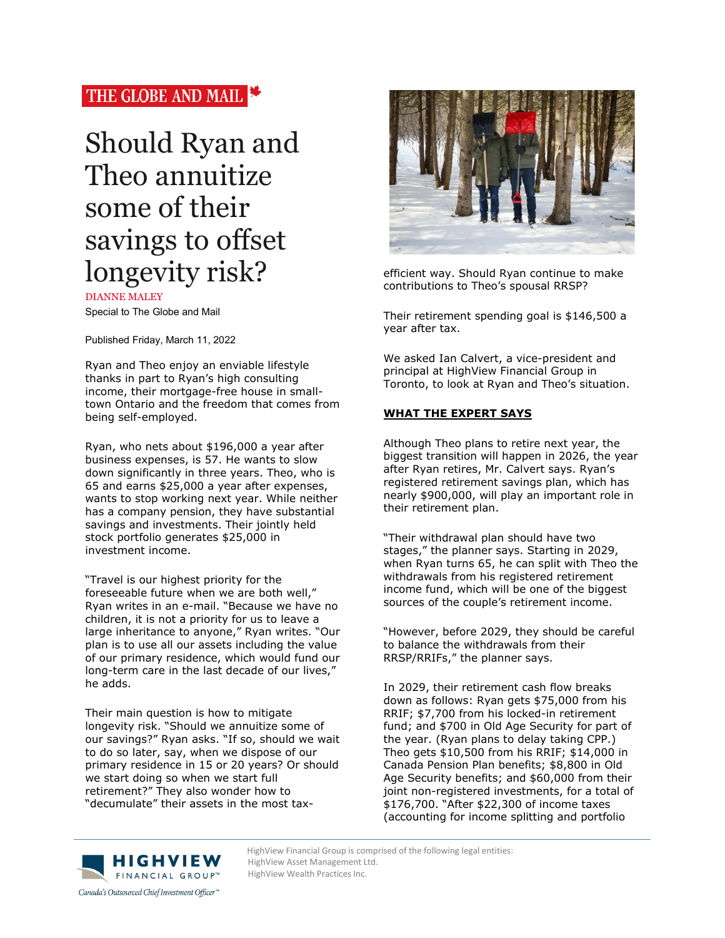## THE GLOBE AND MAIL

# Should Ryan and Theo annuitize some of their savings to offset longevity risk?

DIANNE MALEY

Special to The Globe and Mail

Published Friday, March 11, 2022

Ryan and Theo enjoy an enviable lifestyle thanks in part to Ryan's high consulting income, their mortgage-free house in smalltown Ontario and the freedom that comes from being self-employed.

Ryan, who nets about \$196,000 a year after business expenses, is 57. He wants to slow down significantly in three years. Theo, who is 65 and earns \$25,000 a year after expenses, wants to stop working next year. While neither has a company pension, they have substantial savings and investments. Their jointly held stock portfolio generates \$25,000 in investment income.

"Travel is our highest priority for the foreseeable future when we are both well," Ryan writes in an e-mail. "Because we have no children, it is not a priority for us to leave a large inheritance to anyone," Ryan writes. "Our plan is to use all our assets including the value of our primary residence, which would fund our long-term care in the last decade of our lives," he adds.

Their main question is how to mitigate longevity risk. "Should we annuitize some of our savings?" Ryan asks. "If so, should we wait to do so later, say, when we dispose of our primary residence in 15 or 20 years? Or should we start doing so when we start full retirement?" They also wonder how to "decumulate" their assets in the most tax-



efficient way. Should Ryan continue to make contributions to Theo's spousal RRSP?

Their retirement spending goal is \$146,500 a year after tax.

We asked Ian Calvert, a vice-president and principal at HighView Financial Group in Toronto, to look at Ryan and Theo's situation.

### **WHAT THE EXPERT SAYS**

Although Theo plans to retire next year, the biggest transition will happen in 2026, the year after Ryan retires, Mr. Calvert says. Ryan's registered retirement savings plan, which has nearly \$900,000, will play an important role in their retirement plan.

"Their withdrawal plan should have two stages," the planner says. Starting in 2029, when Ryan turns 65, he can split with Theo the withdrawals from his registered retirement income fund, which will be one of the biggest sources of the couple's retirement income.

"However, before 2029, they should be careful to balance the withdrawals from their RRSP/RRIFs," the planner says.

In 2029, their retirement cash flow breaks down as follows: Ryan gets \$75,000 from his RRIF; \$7,700 from his locked-in retirement fund; and \$700 in Old Age Security for part of the year. (Ryan plans to delay taking CPP.) Theo gets \$10,500 from his RRIF; \$14,000 in Canada Pension Plan benefits; \$8,800 in Old Age Security benefits; and \$60,000 from their joint non-registered investments, for a total of \$176,700. "After \$22,300 of income taxes (accounting for income splitting and portfolio



HighView Financial Group is comprised of the following legal entities:<br>
HighView Asset Management Ltd. HighView Asset Management Ltd. HighView Wealth Practices Inc.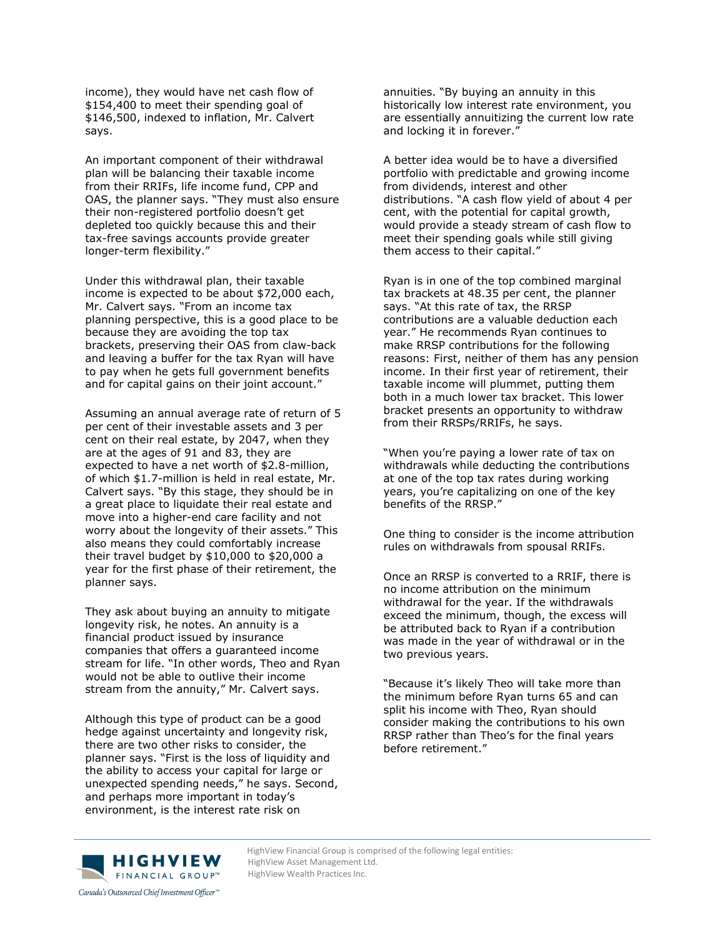income), they would have net cash flow of \$154,400 to meet their spending goal of \$146,500, indexed to inflation, Mr. Calvert says.

An important component of their withdrawal plan will be balancing their taxable income from their RRIFs, life income fund, CPP and OAS, the planner says. "They must also ensure their non-registered portfolio doesn't get depleted too quickly because this and their tax-free savings accounts provide greater longer-term flexibility."

Under this withdrawal plan, their taxable income is expected to be about \$72,000 each, Mr. Calvert says. "From an income tax planning perspective, this is a good place to be because they are avoiding the top tax brackets, preserving their OAS from claw-back and leaving a buffer for the tax Ryan will have to pay when he gets full government benefits and for capital gains on their joint account."

Assuming an annual average rate of return of 5 per cent of their investable assets and 3 per cent on their real estate, by 2047, when they are at the ages of 91 and 83, they are expected to have a net worth of \$2.8-million, of which \$1.7-million is held in real estate, Mr. Calvert says. "By this stage, they should be in a great place to liquidate their real estate and move into a higher-end care facility and not worry about the longevity of their assets." This also means they could comfortably increase their travel budget by \$10,000 to \$20,000 a year for the first phase of their retirement, the planner says.

They ask about buying an annuity to mitigate longevity risk, he notes. An annuity is a financial product issued by insurance companies that offers a guaranteed income stream for life. "In other words, Theo and Ryan would not be able to outlive their income stream from the annuity," Mr. Calvert says.

Although this type of product can be a good hedge against uncertainty and longevity risk, there are two other risks to consider, the planner says. "First is the loss of liquidity and the ability to access your capital for large or unexpected spending needs," he says. Second, and perhaps more important in today's environment, is the interest rate risk on

annuities. "By buying an annuity in this historically low interest rate environment, you are essentially annuitizing the current low rate and locking it in forever."

A better idea would be to have a diversified portfolio with predictable and growing income from dividends, interest and other distributions. "A cash flow yield of about 4 per cent, with the potential for capital growth, would provide a steady stream of cash flow to meet their spending goals while still giving them access to their capital."

Ryan is in one of the top combined marginal tax brackets at 48.35 per cent, the planner says. "At this rate of tax, the RRSP contributions are a valuable deduction each year." He recommends Ryan continues to make RRSP contributions for the following reasons: First, neither of them has any pension income. In their first year of retirement, their taxable income will plummet, putting them both in a much lower tax bracket. This lower bracket presents an opportunity to withdraw from their RRSPs/RRIFs, he says.

"When you're paying a lower rate of tax on withdrawals while deducting the contributions at one of the top tax rates during working years, you're capitalizing on one of the key benefits of the RRSP."

One thing to consider is the income attribution rules on withdrawals from spousal RRIFs.

Once an RRSP is converted to a RRIF, there is no income attribution on the minimum withdrawal for the year. If the withdrawals exceed the minimum, though, the excess will be attributed back to Ryan if a contribution was made in the year of withdrawal or in the two previous years.

"Because it's likely Theo will take more than the minimum before Ryan turns 65 and can split his income with Theo, Ryan should consider making the contributions to his own RRSP rather than Theo's for the final years before retirement."



HighView Financial Group is comprised of the following legal entities:<br>
HighView Asset Management Ltd. HighView Asset Management Ltd. HighView Wealth Practices Inc.